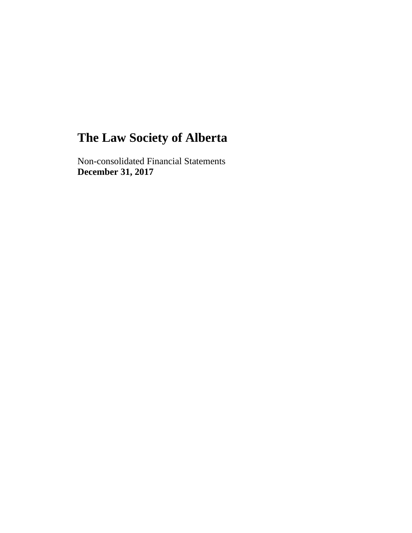Non-consolidated Financial Statements **December 31, 2017**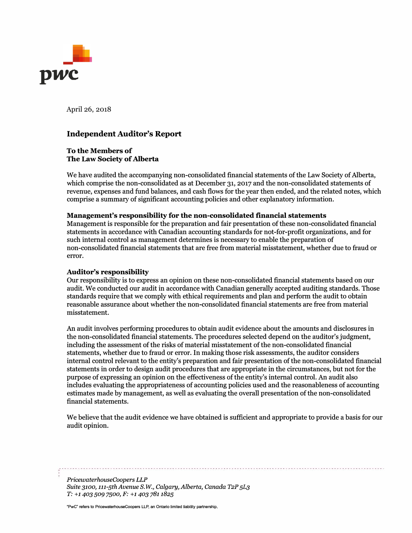

April 26, 2018

### **Independent Auditor's Report**

#### **To the Members of The Law Society of Alberta**

We have audited the accompanying non-consolidated financial statements of the Law Society of Alberta, which comprise the non-consolidated as at December 31, 2017 and the non-consolidated statements of revenue, expenses and fund balances, and cash flows for the year then ended, and the related notes, which comprise a summary of significant accounting policies and other explanatory information.

#### **Management's responsibility for the non-consolidated financial statements**

Management is responsible for the preparation and fair presentation of these non-consolidated financial statements in accordance with Canadian accounting standards for not-for-profit organizations, and for such internal control as management determines is necessary to enable the preparation of non-consolidated financial statements that are free from material misstatement, whether due to fraud or error.

#### **Auditor's responsibility**

Our responsibility is to express an opinion on these non-consolidated financial statements based on our audit. We conducted our audit in accordance with Canadian generally accepted auditing standards. Those standards require that we comply with ethical requirements and plan and perform the audit to obtain reasonable assurance about whether the non-consolidated financial statements are free from material misstatement.

An audit involves performing procedures to obtain audit evidence about the amounts and disclosures in the non-consolidated financial statements. The procedures selected depend on the auditor's judgment, including the assessment of the risks of material misstatement of the non-consolidated financial statements, whether due to fraud or error. In making those risk assessments, the auditor considers internal control relevant to the entity's preparation and fair presentation of the non-consolidated financial statements in order to design audit procedures that are appropriate in the circumstances, but not for the purpose of expressing an opinion on the effectiveness of the entity's internal control. An audit also includes evaluating the appropriateness of accounting policies used and the reasonableness of accounting estimates made by management, as well as evaluating the overall presentation of the non-consolidated financial statements.

We believe that the audit evidence we have obtained is sufficient and appropriate to provide a basis for our audit opinion.

*PricewaterhouseCoopers LLP Suite 3100, 111-5th Avenue S.W., Calgary, Alberta, Canada T2P 5L3 T: +1403 509 7500, F: +1 403 781 1825* 

"PwC" refers to PricewaterhouseCoopers LLP, an Ontario limited liability partnership.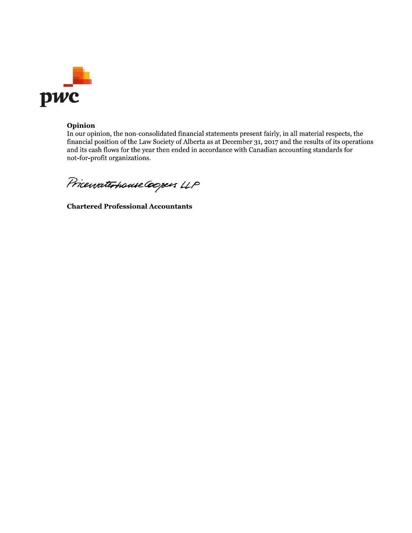

#### Opinion

In our opinion, the non-consolidated financial statements present fairly, in all material respects, the financial position of the Law Society of Alberta as at December 31, 2017 and the results of its operations and its cash flows for the year then ended in accordance with Canadian accounting standards for not-for-profit organizations.

Pricewaterhouse Coopers LLP

**Chartered Professional Accountants**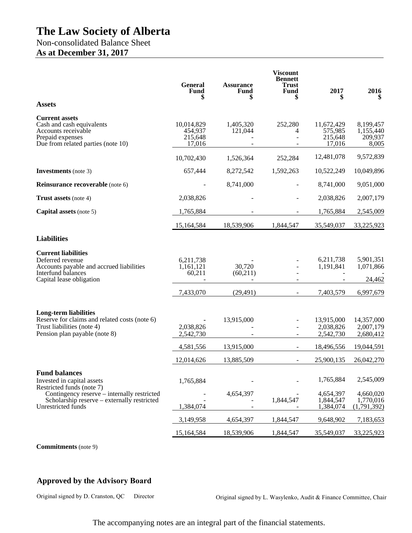## Non-consolidated Balance Sheet **As at December 31, 2017**

|                                                                                                                                                                               | <b>General</b><br><b>Fund</b>              | <b>Assurance</b><br><b>Fund</b><br>S | <b>Viscount</b><br><b>Bennett</b><br><b>Trust</b><br><b>Fund</b> | 2017                                               | 2016                                               |
|-------------------------------------------------------------------------------------------------------------------------------------------------------------------------------|--------------------------------------------|--------------------------------------|------------------------------------------------------------------|----------------------------------------------------|----------------------------------------------------|
| <b>Assets</b>                                                                                                                                                                 |                                            |                                      |                                                                  |                                                    |                                                    |
| <b>Current assets</b><br>Cash and cash equivalents<br>Accounts receivable<br>Prepaid expenses<br>Due from related parties (note 10)                                           | 10,014,829<br>454,937<br>215,648<br>17,016 | 1,405,320<br>121,044                 | 252,280<br>4<br>L,                                               | 11,672,429<br>575,985<br>215,648<br>17,016         | 8,199,457<br>1,155,440<br>209,937<br>8,005         |
|                                                                                                                                                                               | 10,702,430                                 | 1,526,364                            | 252,284                                                          | 12,481,078                                         | 9,572,839                                          |
| <b>Investments</b> (note 3)                                                                                                                                                   | 657,444                                    | 8,272,542                            | 1,592,263                                                        | 10,522,249                                         | 10,049,896                                         |
| Reinsurance recoverable (note 6)                                                                                                                                              |                                            | 8,741,000                            |                                                                  | 8,741,000                                          | 9,051,000                                          |
| <b>Trust assets</b> (note 4)                                                                                                                                                  | 2,038,826                                  |                                      |                                                                  | 2,038,826                                          | 2,007,179                                          |
| Capital assets (note 5)                                                                                                                                                       | 1,765,884                                  |                                      |                                                                  | 1,765,884                                          | 2,545,009                                          |
|                                                                                                                                                                               | 15,164,584                                 | 18,539,906                           | 1,844,547                                                        | 35,549,037                                         | 33,225,923                                         |
| <b>Liabilities</b>                                                                                                                                                            |                                            |                                      |                                                                  |                                                    |                                                    |
| <b>Current liabilities</b><br>Deferred revenue<br>Accounts payable and accrued liabilities<br>Interfund balances<br>Capital lease obligation                                  | 6,211,738<br>1,161,121<br>60,211           | 30,720<br>(60,211)                   |                                                                  | 6,211,738<br>1,191,841                             | 5,901,351<br>1,071,866<br>24,462                   |
|                                                                                                                                                                               | 7,433,070                                  | (29, 491)                            | $\blacksquare$                                                   | 7,403,579                                          | 6,997,679                                          |
| <b>Long-term liabilities</b><br>Reserve for claims and related costs (note 6)<br>Trust liabilities (note 4)<br>Pension plan payable (note 8)                                  | 2,038,826<br>2,542,730<br>4,581,556        | 13,915,000<br>13,915,000             | ÷                                                                | 13,915,000<br>2,038,826<br>2,542,730<br>18,496,556 | 14,357,000<br>2,007,179<br>2,680,412<br>19,044,591 |
|                                                                                                                                                                               | 12,014,626                                 | 13,885,509                           | $\overline{\phantom{0}}$                                         | 25,900,135                                         | 26,042,270                                         |
| <b>Fund balances</b><br>Invested in capital assets<br>Restricted funds (note 7)<br>Contingency reserve – internally restricted<br>Scholarship reserve – externally restricted | 1,765,884                                  | 4,654,397                            | 1,844,547                                                        | 1,765,884<br>4,654,397<br>1,844,547                | 2,545,009<br>4,660,020<br>1,770,016                |
| Unrestricted funds                                                                                                                                                            | 1,384,074                                  |                                      |                                                                  | 1,384,074                                          | (1,791,392)                                        |
|                                                                                                                                                                               | 3,149,958                                  | 4,654,397                            | 1,844,547                                                        | 9,648,902                                          | 7,183,653                                          |
|                                                                                                                                                                               | 15,164,584                                 | 18,539,906                           | 1,844,547                                                        | 35,549,037                                         | 33,225,923                                         |

**Commitments** (note 9)

## **Approved by the Advisory Board**

Original signed by D. Cranston, QC Director Original signed by L. Wasylenko, Audit & Finance Committee, Chair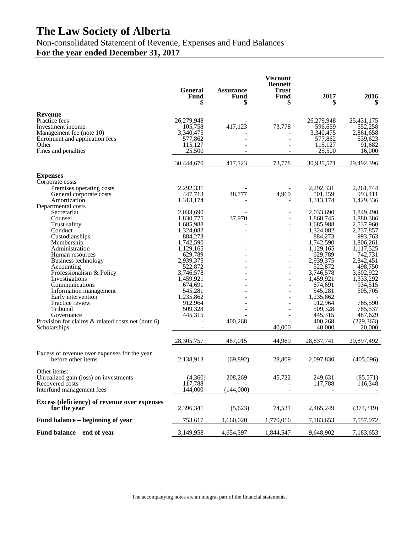Non-consolidated Statement of Revenue, Expenses and Fund Balances

# **For the year ended December 31, 2017**

|                                                                                                                                                                                                                                                                                                                                                                                                                                                                                                                                     | <b>General</b><br>Fund<br>\$                                                                                                                                                                                                                                | <b>Assurance</b><br><b>Fund</b><br>\$ | <b>Viscount</b><br><b>Bennett</b><br><b>Trust</b><br>Fund<br>S                                                                                                                                | 2017<br>S                                                                                                                                                                                                                                                                        | 2016                                                                                                                                                                                                                                                                   |
|-------------------------------------------------------------------------------------------------------------------------------------------------------------------------------------------------------------------------------------------------------------------------------------------------------------------------------------------------------------------------------------------------------------------------------------------------------------------------------------------------------------------------------------|-------------------------------------------------------------------------------------------------------------------------------------------------------------------------------------------------------------------------------------------------------------|---------------------------------------|-----------------------------------------------------------------------------------------------------------------------------------------------------------------------------------------------|----------------------------------------------------------------------------------------------------------------------------------------------------------------------------------------------------------------------------------------------------------------------------------|------------------------------------------------------------------------------------------------------------------------------------------------------------------------------------------------------------------------------------------------------------------------|
| Revenue<br>Practice fees<br>Investment income<br>Management fee (note 10)<br>Enrolment and application fees<br>Other<br>Fines and penalties                                                                                                                                                                                                                                                                                                                                                                                         | 26,279,948<br>105,758<br>3,340,475<br>577,862<br>115,127<br>25,500                                                                                                                                                                                          | 417,123                               | 73,778                                                                                                                                                                                        | 26,279,948<br>596,659<br>3,340,475<br>577,862<br>115,127<br>25,500                                                                                                                                                                                                               | 25,431,175<br>552,258<br>2,861,658<br>539,623<br>91,682<br>16,000                                                                                                                                                                                                      |
|                                                                                                                                                                                                                                                                                                                                                                                                                                                                                                                                     | 30,444,670                                                                                                                                                                                                                                                  | 417,123                               | 73,778                                                                                                                                                                                        | 30,935,571                                                                                                                                                                                                                                                                       | 29,492,396                                                                                                                                                                                                                                                             |
| <b>Expenses</b><br>Corporate costs<br>Premises operating costs<br>General corporate costs<br>Amortization<br>Departmental costs<br>Secretariat<br>Counsel<br>Trust safety<br>Conduct<br>Custodianships<br>Membership<br>Administration<br>Human resources<br>Business technology<br>Accounting<br>Professionalism & Policy<br>Investigations<br>Communications<br>Information management<br>Early intervention<br>Practice review<br>Tribunal<br>Governance<br>Provision for claims $\&$ related costs net (note 6)<br>Scholarships | 2,292,331<br>447,713<br>1,313,174<br>2,033,690<br>1,830,775<br>1,685,988<br>1,324,082<br>884,273<br>1,742,590<br>1,129,165<br>629,789<br>2,939,375<br>522,872<br>3,746,578<br>1,459,921<br>674,691<br>545,281<br>1,235,862<br>912,964<br>509,328<br>445,315 | 48,777<br>37,970<br>400,268           | 4,969<br>$\overline{a}$<br>$\overline{\phantom{a}}$<br>$\overline{a}$<br>$\overline{a}$<br>$\overline{\phantom{a}}$<br>$\overline{\phantom{a}}$<br>$\overline{a}$<br>$\overline{a}$<br>40,000 | 2,292,331<br>501,459<br>1,313,174<br>2,033,690<br>1,868,745<br>1,685,988<br>1,324,082<br>884,273<br>1,742,590<br>1,129,165<br>629,789<br>2,939,375<br>522,872<br>3,746,578<br>1,459,921<br>674,691<br>545,281<br>1,235,862<br>912,964<br>509,328<br>445,315<br>400,268<br>40,000 | 2,261,744<br>993,411<br>1,429,336<br>1,849,490<br>1,880,386<br>2,537,960<br>2,737,857<br>993,763<br>1,806,261<br>1,117,525<br>742,731<br>2,842,451<br>498,750<br>3,602,922<br>1,333,292<br>934,515<br>505,705<br>765,590<br>785,537<br>487,629<br>(229, 363)<br>20,000 |
|                                                                                                                                                                                                                                                                                                                                                                                                                                                                                                                                     | 28,305,757                                                                                                                                                                                                                                                  | 487,015                               | 44,969                                                                                                                                                                                        | 28,837,741                                                                                                                                                                                                                                                                       | 29,897,492                                                                                                                                                                                                                                                             |
| Excess of revenue over expenses for the year<br>before other items                                                                                                                                                                                                                                                                                                                                                                                                                                                                  | 2,138,913                                                                                                                                                                                                                                                   | (69, 892)                             | 28,809                                                                                                                                                                                        | 2,097,830                                                                                                                                                                                                                                                                        | (405,096)                                                                                                                                                                                                                                                              |
| Other items:<br>Unrealized gain (loss) on investments<br>Recovered costs<br>Interfund management fees                                                                                                                                                                                                                                                                                                                                                                                                                               | (4,360)<br>117,788<br>144,000                                                                                                                                                                                                                               | 208,269<br>(144,000)                  | 45,722                                                                                                                                                                                        | 249,631<br>117,788                                                                                                                                                                                                                                                               | (85,571)<br>116,348                                                                                                                                                                                                                                                    |
| Excess (deficiency) of revenue over expenses<br>for the year                                                                                                                                                                                                                                                                                                                                                                                                                                                                        | 2,396,341                                                                                                                                                                                                                                                   | (5,623)                               | 74,531                                                                                                                                                                                        | 2,465,249                                                                                                                                                                                                                                                                        | (374, 319)                                                                                                                                                                                                                                                             |
| Fund balance – beginning of year                                                                                                                                                                                                                                                                                                                                                                                                                                                                                                    | 753,617                                                                                                                                                                                                                                                     | 4,660,020                             | 1,770,016                                                                                                                                                                                     | 7,183,653                                                                                                                                                                                                                                                                        | 7,557,972                                                                                                                                                                                                                                                              |
| Fund balance – end of year                                                                                                                                                                                                                                                                                                                                                                                                                                                                                                          | 3,149,958                                                                                                                                                                                                                                                   | 4,654,397                             | 1,844,547                                                                                                                                                                                     | 9,648,902                                                                                                                                                                                                                                                                        | 7,183,653                                                                                                                                                                                                                                                              |

The accompanying notes are an integral part of the financial statements.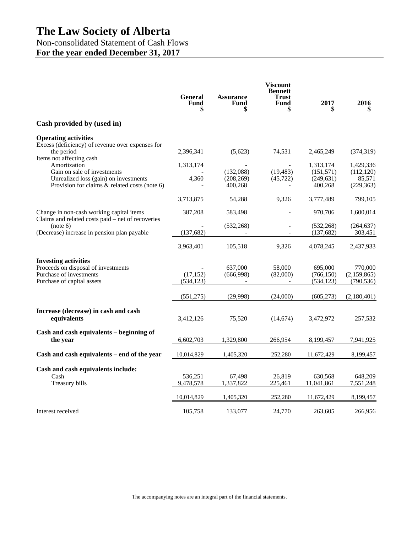# Non-consolidated Statement of Cash Flows

**For the year ended December 31, 2017**

|                                                                                                                             | <b>General</b><br>Fund<br>\$ | <b>Assurance</b><br>Fund           | <b>Viscount</b><br><b>Bennett</b><br><b>Trust</b><br>Fund<br>\$ | 2017                                             | 2016                                   |
|-----------------------------------------------------------------------------------------------------------------------------|------------------------------|------------------------------------|-----------------------------------------------------------------|--------------------------------------------------|----------------------------------------|
| Cash provided by (used in)                                                                                                  |                              |                                    |                                                                 |                                                  |                                        |
| <b>Operating activities</b><br>Excess (deficiency) of revenue over expenses for                                             |                              |                                    |                                                                 |                                                  |                                        |
| the period<br>Items not affecting cash<br>Amortization                                                                      | 2,396,341                    | (5,623)                            | 74,531                                                          | 2,465,249                                        | (374, 319)<br>1,429,336                |
| Gain on sale of investments<br>Unrealized loss (gain) on investments<br>Provision for claims $\&$ related costs (note 6)    | 1,313,174<br>4,360           | (132,088)<br>(208, 269)<br>400,268 | (19, 483)<br>(45, 722)                                          | 1,313,174<br>(151, 571)<br>(249, 631)<br>400,268 | (112, 120)<br>85,571<br>(229, 363)     |
|                                                                                                                             | 3,713,875                    | 54,288                             | 9,326                                                           | 3,777,489                                        | 799,105                                |
| Change in non-cash working capital items<br>Claims and related costs paid - net of recoveries                               | 387,208                      | 583,498                            |                                                                 | 970,706                                          | 1,600,014                              |
| (note 6)<br>(Decrease) increase in pension plan payable                                                                     | (137, 682)                   | (532, 268)                         |                                                                 | (532, 268)<br>(137, 682)                         | (264, 637)<br>303,451                  |
|                                                                                                                             | 3,963,401                    | 105,518                            | 9.326                                                           | 4,078,245                                        | 2,437,933                              |
| <b>Investing activities</b><br>Proceeds on disposal of investments<br>Purchase of investments<br>Purchase of capital assets | (17, 152)<br>(534, 123)      | 637,000<br>(666,998)               | 58,000<br>(82,000)                                              | 695,000<br>(766, 150)<br>(534, 123)              | 770,000<br>(2, 159, 865)<br>(790, 536) |
|                                                                                                                             | (551, 275)                   | (29,998)                           | (24,000)                                                        | (605, 273)                                       | (2,180,401)                            |
| Increase (decrease) in cash and cash<br>equivalents                                                                         | 3,412,126                    | 75,520                             | (14, 674)                                                       | 3,472,972                                        | 257,532                                |
| Cash and cash equivalents - beginning of<br>the year                                                                        | 6,602,703                    | 1,329,800                          | 266,954                                                         | 8,199,457                                        | 7,941,925                              |
| Cash and cash equivalents - end of the year                                                                                 | 10,014,829                   | 1,405,320                          | 252,280                                                         | 11,672,429                                       | 8,199,457                              |
| Cash and cash equivalents include:<br>Cash<br>Treasury bills                                                                | 536,251<br>9,478,578         | 67,498<br>1,337,822                | 26,819<br>225,461                                               | 630,568<br>11,041,861                            | 648,209<br>7,551,248                   |
|                                                                                                                             | 10,014,829                   | 1,405,320                          | 252,280                                                         | 11,672,429                                       | 8,199,457                              |
| Interest received                                                                                                           | 105,758                      | 133,077                            | 24,770                                                          | 263,605                                          | 266,956                                |

The accompanying notes are an integral part of the financial statements.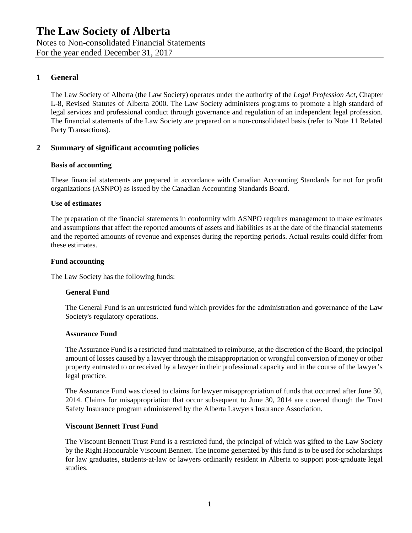Notes to Non-consolidated Financial Statements For the year ended December 31, 2017

### **1 General**

The Law Society of Alberta (the Law Society) operates under the authority of the *Legal Profession Act*, Chapter L-8, Revised Statutes of Alberta 2000. The Law Society administers programs to promote a high standard of legal services and professional conduct through governance and regulation of an independent legal profession. The financial statements of the Law Society are prepared on a non-consolidated basis (refer to Note 11 Related Party Transactions).

### **2 Summary of significant accounting policies**

#### **Basis of accounting**

These financial statements are prepared in accordance with Canadian Accounting Standards for not for profit organizations (ASNPO) as issued by the Canadian Accounting Standards Board.

#### **Use of estimates**

The preparation of the financial statements in conformity with ASNPO requires management to make estimates and assumptions that affect the reported amounts of assets and liabilities as at the date of the financial statements and the reported amounts of revenue and expenses during the reporting periods. Actual results could differ from these estimates.

#### **Fund accounting**

The Law Society has the following funds:

#### **General Fund**

The General Fund is an unrestricted fund which provides for the administration and governance of the Law Society's regulatory operations.

#### **Assurance Fund**

The Assurance Fund is a restricted fund maintained to reimburse, at the discretion of the Board, the principal amount of losses caused by a lawyer through the misappropriation or wrongful conversion of money or other property entrusted to or received by a lawyer in their professional capacity and in the course of the lawyer's legal practice.

The Assurance Fund was closed to claims for lawyer misappropriation of funds that occurred after June 30, 2014. Claims for misappropriation that occur subsequent to June 30, 2014 are covered though the Trust Safety Insurance program administered by the Alberta Lawyers Insurance Association.

#### **Viscount Bennett Trust Fund**

The Viscount Bennett Trust Fund is a restricted fund, the principal of which was gifted to the Law Society by the Right Honourable Viscount Bennett. The income generated by this fund is to be used for scholarships for law graduates, students-at-law or lawyers ordinarily resident in Alberta to support post-graduate legal studies.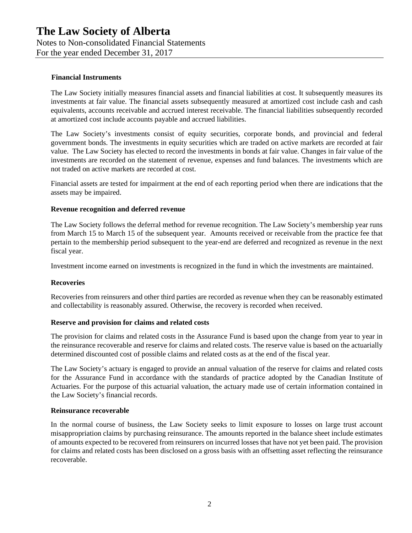Notes to Non-consolidated Financial Statements

For the year ended December 31, 2017

#### **Financial Instruments**

The Law Society initially measures financial assets and financial liabilities at cost. It subsequently measures its investments at fair value. The financial assets subsequently measured at amortized cost include cash and cash equivalents, accounts receivable and accrued interest receivable. The financial liabilities subsequently recorded at amortized cost include accounts payable and accrued liabilities.

The Law Society's investments consist of equity securities, corporate bonds, and provincial and federal government bonds. The investments in equity securities which are traded on active markets are recorded at fair value. The Law Society has elected to record the investments in bonds at fair value. Changes in fair value of the investments are recorded on the statement of revenue, expenses and fund balances. The investments which are not traded on active markets are recorded at cost.

Financial assets are tested for impairment at the end of each reporting period when there are indications that the assets may be impaired.

#### **Revenue recognition and deferred revenue**

The Law Society follows the deferral method for revenue recognition. The Law Society's membership year runs from March 15 to March 15 of the subsequent year. Amounts received or receivable from the practice fee that pertain to the membership period subsequent to the year-end are deferred and recognized as revenue in the next fiscal year.

Investment income earned on investments is recognized in the fund in which the investments are maintained.

#### **Recoveries**

Recoveries from reinsurers and other third parties are recorded as revenue when they can be reasonably estimated and collectability is reasonably assured. Otherwise, the recovery is recorded when received.

#### **Reserve and provision for claims and related costs**

The provision for claims and related costs in the Assurance Fund is based upon the change from year to year in the reinsurance recoverable and reserve for claims and related costs. The reserve value is based on the actuarially determined discounted cost of possible claims and related costs as at the end of the fiscal year.

The Law Society's actuary is engaged to provide an annual valuation of the reserve for claims and related costs for the Assurance Fund in accordance with the standards of practice adopted by the Canadian Institute of Actuaries. For the purpose of this actuarial valuation, the actuary made use of certain information contained in the Law Society's financial records.

#### **Reinsurance recoverable**

In the normal course of business, the Law Society seeks to limit exposure to losses on large trust account misappropriation claims by purchasing reinsurance. The amounts reported in the balance sheet include estimates of amounts expected to be recovered from reinsurers on incurred losses that have not yet been paid. The provision for claims and related costs has been disclosed on a gross basis with an offsetting asset reflecting the reinsurance recoverable.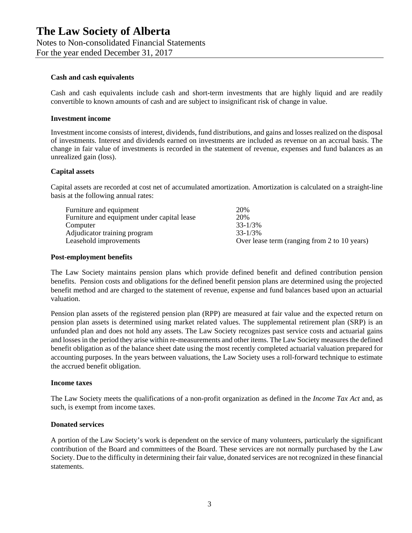Notes to Non-consolidated Financial Statements

For the year ended December 31, 2017

#### **Cash and cash equivalents**

Cash and cash equivalents include cash and short-term investments that are highly liquid and are readily convertible to known amounts of cash and are subject to insignificant risk of change in value.

#### **Investment income**

Investment income consists of interest, dividends, fund distributions, and gains and losses realized on the disposal of investments. Interest and dividends earned on investments are included as revenue on an accrual basis. The change in fair value of investments is recorded in the statement of revenue, expenses and fund balances as an unrealized gain (loss).

#### **Capital assets**

Capital assets are recorded at cost net of accumulated amortization. Amortization is calculated on a straight-line basis at the following annual rates:

| Furniture and equipment                     | 20%                                          |
|---------------------------------------------|----------------------------------------------|
| Furniture and equipment under capital lease | 20%                                          |
| Computer                                    | $33 - 1/3\%$                                 |
| Adjudicator training program                | 33-1/3%                                      |
| Leasehold improvements                      | Over lease term (ranging from 2 to 10 years) |

#### **Post-employment benefits**

The Law Society maintains pension plans which provide defined benefit and defined contribution pension benefits. Pension costs and obligations for the defined benefit pension plans are determined using the projected benefit method and are charged to the statement of revenue, expense and fund balances based upon an actuarial valuation.

Pension plan assets of the registered pension plan (RPP) are measured at fair value and the expected return on pension plan assets is determined using market related values. The supplemental retirement plan (SRP) is an unfunded plan and does not hold any assets. The Law Society recognizes past service costs and actuarial gains and losses in the period they arise within re-measurements and other items. The Law Society measures the defined benefit obligation as of the balance sheet date using the most recently completed actuarial valuation prepared for accounting purposes. In the years between valuations, the Law Society uses a roll-forward technique to estimate the accrued benefit obligation.

#### **Income taxes**

The Law Society meets the qualifications of a non-profit organization as defined in the *Income Tax Act* and, as such, is exempt from income taxes.

#### **Donated services**

A portion of the Law Society's work is dependent on the service of many volunteers, particularly the significant contribution of the Board and committees of the Board. These services are not normally purchased by the Law Society. Due to the difficulty in determining their fair value, donated services are not recognized in these financial statements.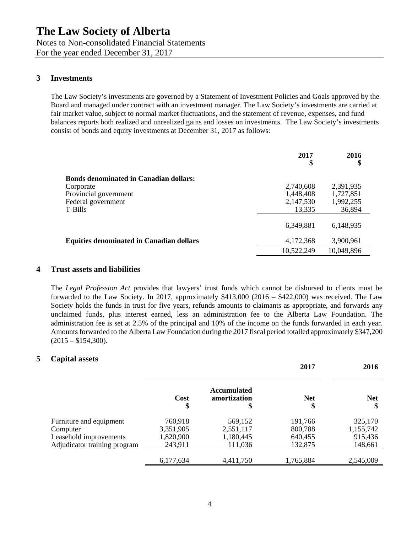Notes to Non-consolidated Financial Statements For the year ended December 31, 2017

### **3 Investments**

The Law Society's investments are governed by a Statement of Investment Policies and Goals approved by the Board and managed under contract with an investment manager. The Law Society's investments are carried at fair market value, subject to normal market fluctuations, and the statement of revenue, expenses, and fund balances reports both realized and unrealized gains and losses on investments. The Law Society's investments consist of bonds and equity investments at December 31, 2017 as follows:

|                                                 | 2017<br>\$ | 2016<br>\$ |
|-------------------------------------------------|------------|------------|
| <b>Bonds denominated in Canadian dollars:</b>   |            |            |
| Corporate                                       | 2,740,608  | 2,391,935  |
| Provincial government                           | 1,448,408  | 1,727,851  |
| Federal government                              | 2,147,530  | 1,992,255  |
| T-Bills                                         | 13,335     | 36,894     |
|                                                 | 6,349,881  | 6,148,935  |
| <b>Equities denominated in Canadian dollars</b> | 4,172,368  | 3,900,961  |
|                                                 | 10,522,249 | 10,049,896 |

#### **4 Trust assets and liabilities**

The *Legal Profession Act* provides that lawyers' trust funds which cannot be disbursed to clients must be forwarded to the Law Society. In 2017, approximately \$413,000 (2016 – \$422,000) was received. The Law Society holds the funds in trust for five years, refunds amounts to claimants as appropriate, and forwards any unclaimed funds, plus interest earned, less an administration fee to the Alberta Law Foundation. The administration fee is set at 2.5% of the principal and 10% of the income on the funds forwarded in each year. Amounts forwarded to the Alberta Law Foundation during the 2017 fiscal period totalled approximately \$347,200  $(2015 - $154,300)$ .

#### **5 Capital assets**

|                              |            |                                         | 2017             | 2016       |
|------------------------------|------------|-----------------------------------------|------------------|------------|
|                              | Cost<br>\$ | <b>Accumulated</b><br>amortization<br>D | <b>Net</b><br>\$ | <b>Net</b> |
| Furniture and equipment      | 760,918    | 569,152                                 | 191,766          | 325,170    |
| Computer                     | 3,351,905  | 2,551,117                               | 800,788          | 1,155,742  |
| Leasehold improvements       | 1,820,900  | 1,180,445                               | 640,455          | 915,436    |
| Adjudicator training program | 243,911    | 111,036                                 | 132,875          | 148,661    |
|                              | 6,177,634  | 4,411,750                               | 1,765,884        | 2,545,009  |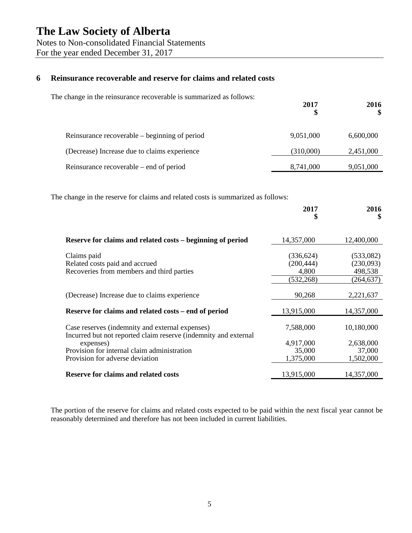Notes to Non-consolidated Financial Statements

For the year ended December 31, 2017

### **6 Reinsurance recoverable and reserve for claims and related costs**

The change in the reinsurance recoverable is summarized as follows:

|                                               | 2017      | 2010      |
|-----------------------------------------------|-----------|-----------|
| Reinsurance recoverable – beginning of period | 9,051,000 | 6,600,000 |
| (Decrease) Increase due to claims experience  | (310,000) | 2,451,000 |
| Reinsurance recoverable – end of period       | 8,741,000 | 9,051,000 |

**2017**

**2016**

The change in the reserve for claims and related costs is summarized as follows:

|                                                                                                                                                                                | 2017<br>\$                                      | 2016<br>\$                                     |
|--------------------------------------------------------------------------------------------------------------------------------------------------------------------------------|-------------------------------------------------|------------------------------------------------|
| Reserve for claims and related costs – beginning of period                                                                                                                     | 14,357,000                                      | 12,400,000                                     |
| Claims paid<br>Related costs paid and accrued<br>Recoveries from members and third parties                                                                                     | (336, 624)<br>(200, 444)<br>4,800<br>(532, 268) | (533,082)<br>(230,093)<br>498,538<br>(264,637) |
| (Decrease) Increase due to claims experience                                                                                                                                   | 90,268                                          | 2,221,637                                      |
| Reserve for claims and related costs – end of period                                                                                                                           | 13,915,000                                      | 14,357,000                                     |
| Case reserves (indemnity and external expenses)<br>Incurred but not reported claim reserve (indemnity and external<br>expenses)<br>Provision for internal claim administration | 7,588,000<br>4,917,000<br>35,000                | 10,180,000<br>2,638,000<br>37,000              |
| Provision for adverse deviation<br><b>Reserve for claims and related costs</b>                                                                                                 | 1,375,000<br>13,915,000                         | 1,502,000<br>14,357,000                        |

The portion of the reserve for claims and related costs expected to be paid within the next fiscal year cannot be reasonably determined and therefore has not been included in current liabilities.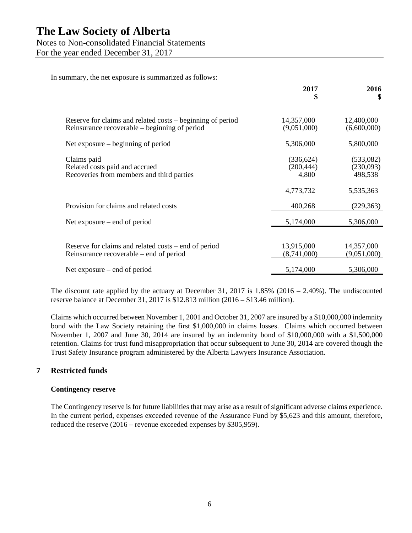### Notes to Non-consolidated Financial Statements

For the year ended December 31, 2017

In summary, the net exposure is summarized as follows:

|                                                                                                             | 2017<br>\$                        | 2016<br><sup>\$</sup>             |
|-------------------------------------------------------------------------------------------------------------|-----------------------------------|-----------------------------------|
| Reserve for claims and related costs – beginning of period<br>Reinsurance recoverable – beginning of period | 14,357,000<br>(9,051,000)         | 12,400,000<br>(6,600,000)         |
| Net exposure – beginning of period                                                                          | 5,306,000                         | 5,800,000                         |
| Claims paid<br>Related costs paid and accrued<br>Recoveries from members and third parties                  | (336, 624)<br>(200, 444)<br>4,800 | (533,082)<br>(230,093)<br>498,538 |
|                                                                                                             | 4,773,732                         | 5,535,363                         |
| Provision for claims and related costs                                                                      | 400,268                           | (229, 363)                        |
| Net exposure $-$ end of period                                                                              | 5,174,000                         | 5,306,000                         |
| Reserve for claims and related costs – end of period<br>Reinsurance recoverable – end of period             | 13,915,000<br>(8,741,000)         | 14,357,000<br>(9,051,000)         |
| Net exposure $-$ end of period                                                                              | 5,174,000                         | 5,306,000                         |

The discount rate applied by the actuary at December 31, 2017 is  $1.85\%$  (2016 – 2.40%). The undiscounted reserve balance at December 31, 2017 is \$12.813 million (2016 – \$13.46 million).

Claims which occurred between November 1, 2001 and October 31, 2007 are insured by a \$10,000,000 indemnity bond with the Law Society retaining the first \$1,000,000 in claims losses. Claims which occurred between November 1, 2007 and June 30, 2014 are insured by an indemnity bond of \$10,000,000 with a \$1,500,000 retention. Claims for trust fund misappropriation that occur subsequent to June 30, 2014 are covered though the Trust Safety Insurance program administered by the Alberta Lawyers Insurance Association.

### **7 Restricted funds**

#### **Contingency reserve**

The Contingency reserve is for future liabilities that may arise as a result of significant adverse claims experience. In the current period, expenses exceeded revenue of the Assurance Fund by \$5,623 and this amount, therefore, reduced the reserve (2016 – revenue exceeded expenses by \$305,959).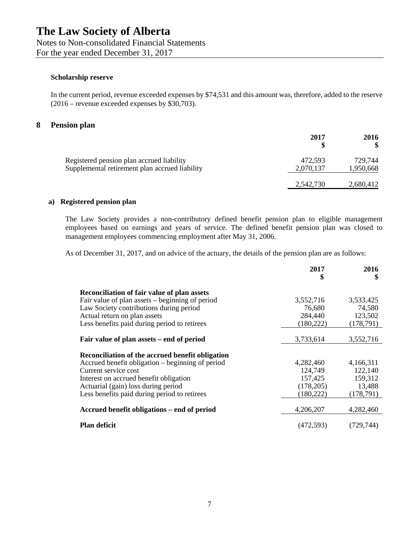Notes to Non-consolidated Financial Statements For the year ended December 31, 2017

#### **Scholarship reserve**

In the current period, revenue exceeded expenses by \$74,531 and this amount was, therefore, added to the reserve (2016 – revenue exceeded expenses by \$30,703).

#### **8 Pension plan**

|                                                                                             | 2017                 | 2016                 |
|---------------------------------------------------------------------------------------------|----------------------|----------------------|
| Registered pension plan accrued liability<br>Supplemental retirement plan accrued liability | 472.593<br>2,070,137 | 729,744<br>1,950,668 |
|                                                                                             | 2,542,730            | 2,680,412            |

#### **a) Registered pension plan**

The Law Society provides a non-contributory defined benefit pension plan to eligible management employees based on earnings and years of service. The defined benefit pension plan was closed to management employees commencing employment after May 31, 2006.

As of December 31, 2017, and on advice of the actuary, the details of the pension plan are as follows:

|                                                    | 2017<br>\$ | 2016<br>\$ |
|----------------------------------------------------|------------|------------|
| <b>Reconciliation of fair value of plan assets</b> |            |            |
| Fair value of plan assets – beginning of period    | 3,552,716  | 3,533,425  |
| Law Society contributions during period            | 76,680     | 74,580     |
| Actual return on plan assets                       | 284,440    | 123,502    |
| Less benefits paid during period to retirees       | (180, 222) | (178, 791) |
|                                                    |            |            |
| Fair value of plan assets – end of period          | 3,733,614  | 3,552,716  |
| Reconciliation of the accrued benefit obligation   |            |            |
| Accrued benefit obligation – beginning of period   | 4,282,460  | 4,166,311  |
| Current service cost                               | 124,749    | 122,140    |
| Interest on accrued benefit obligation             | 157,425    | 159,312    |
| Actuarial (gain) loss during period                | (178,205)  | 13,488     |
| Less benefits paid during period to retirees       | (180, 222) | (178,791)  |
| Accrued benefit obligations – end of period        | 4,206,207  | 4,282,460  |
| <b>Plan deficit</b>                                | (472, 593) | (729.744)  |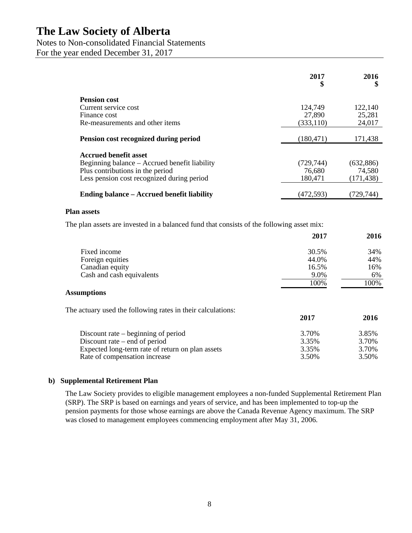## Notes to Non-consolidated Financial Statements

For the year ended December 31, 2017

|                                               | 2017<br>\$ | 2016       |
|-----------------------------------------------|------------|------------|
| <b>Pension cost</b>                           |            |            |
| Current service cost                          | 124,749    | 122,140    |
| Finance cost                                  | 27,890     | 25,281     |
| Re-measurements and other items               | (333, 110) | 24,017     |
| Pension cost recognized during period         | (180, 471) | 171,438    |
| <b>Accrued benefit asset</b>                  |            |            |
| Beginning balance – Accrued benefit liability | (729, 744) | (632, 886) |
| Plus contributions in the period              | 76,680     | 74,580     |
| Less pension cost recognized during period    | 180,471    | (171, 438) |
| Ending balance – Accrued benefit liability    | (472.593)  | (729.744)  |

#### **Plan assets**

The plan assets are invested in a balanced fund that consists of the following asset mix:

|                                                             | 2017  | 2016  |
|-------------------------------------------------------------|-------|-------|
| Fixed income                                                | 30.5% | 34%   |
| Foreign equities                                            | 44.0% | 44%   |
| Canadian equity                                             | 16.5% | 16%   |
| Cash and cash equivalents                                   | 9.0%  | 6%    |
|                                                             | 100%  | 100%  |
| <b>Assumptions</b>                                          |       |       |
| The actuary used the following rates in their calculations: |       |       |
|                                                             | 2017  | 2016  |
| Discount rate $-$ beginning of period                       | 3.70% | 3.85% |
| Discount rate $-$ end of period                             | 3.35% | 3.70% |
| Expected long-term rate of return on plan assets            | 3.35% | 3.70% |
| Rate of compensation increase                               | 3.50% | 3.50% |

#### **b) Supplemental Retirement Plan**

The Law Society provides to eligible management employees a non-funded Supplemental Retirement Plan (SRP). The SRP is based on earnings and years of service, and has been implemented to top-up the pension payments for those whose earnings are above the Canada Revenue Agency maximum. The SRP was closed to management employees commencing employment after May 31, 2006.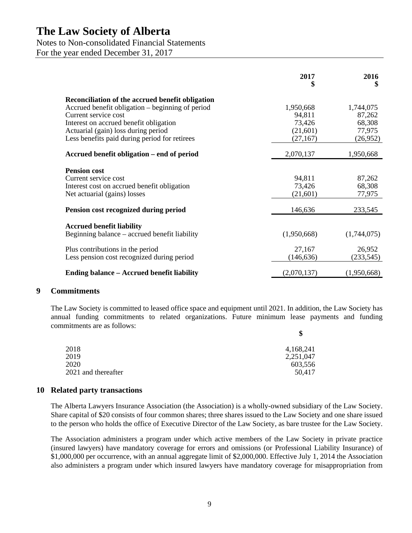#### Notes to Non-consolidated Financial Statements

For the year ended December 31, 2017

|                                                                                                                                | 2017<br>\$                      | 2016<br>\$                   |
|--------------------------------------------------------------------------------------------------------------------------------|---------------------------------|------------------------------|
| Reconciliation of the accrued benefit obligation<br>Accrued benefit obligation – beginning of period<br>Current service cost   | 1,950,668<br>94,811             | 1,744,075<br>87,262          |
| Interest on accrued benefit obligation<br>Actuarial (gain) loss during period<br>Less benefits paid during period for retirees | 73,426<br>(21,601)<br>(27, 167) | 68,308<br>77,975<br>(26,952) |
| Accrued benefit obligation – end of period                                                                                     | 2,070,137                       | 1,950,668                    |
| <b>Pension cost</b><br>Current service cost<br>Interest cost on accrued benefit obligation<br>Net actuarial (gains) losses     | 94,811<br>73,426<br>(21,601)    | 87,262<br>68,308<br>77,975   |
| Pension cost recognized during period                                                                                          | 146,636                         | 233,545                      |
| <b>Accrued benefit liability</b><br>Beginning balance – accrued benefit liability                                              | (1,950,668)                     | (1,744,075)                  |
| Plus contributions in the period<br>Less pension cost recognized during period                                                 | 27,167<br>(146, 636)            | 26,952<br>(233, 545)         |
| <b>Ending balance – Accrued benefit liability</b>                                                                              | (2,070,137)                     | (1,950,668)                  |

#### **9 Commitments**

The Law Society is committed to leased office space and equipment until 2021. In addition, the Law Society has annual funding commitments to related organizations. Future minimum lease payments and funding commitments are as follows: **\$**

| D         |
|-----------|
| 4,168,241 |
| 2,251,047 |
| 603,556   |
| 50.417    |
|           |

#### **10 Related party transactions**

The Alberta Lawyers Insurance Association (the Association) is a wholly-owned subsidiary of the Law Society. Share capital of \$20 consists of four common shares; three shares issued to the Law Society and one share issued to the person who holds the office of Executive Director of the Law Society, as bare trustee for the Law Society.

The Association administers a program under which active members of the Law Society in private practice (insured lawyers) have mandatory coverage for errors and omissions (or Professional Liability Insurance) of \$1,000,000 per occurrence, with an annual aggregate limit of \$2,000,000. Effective July 1, 2014 the Association also administers a program under which insured lawyers have mandatory coverage for misappropriation from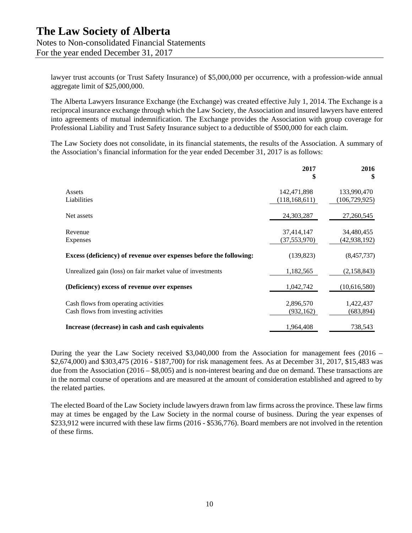lawyer trust accounts (or Trust Safety Insurance) of \$5,000,000 per occurrence, with a profession-wide annual aggregate limit of \$25,000,000.

The Alberta Lawyers Insurance Exchange (the Exchange) was created effective July 1, 2014. The Exchange is a reciprocal insurance exchange through which the Law Society, the Association and insured lawyers have entered into agreements of mutual indemnification. The Exchange provides the Association with group coverage for Professional Liability and Trust Safety Insurance subject to a deductible of \$500,000 for each claim.

The Law Society does not consolidate, in its financial statements, the results of the Association. A summary of the Association's financial information for the year ended December 31, 2017 is as follows:

|                                                                              | 2017<br>\$                     | 2016<br>\$                     |
|------------------------------------------------------------------------------|--------------------------------|--------------------------------|
| Assets<br>Liabilities                                                        | 142,471,898<br>(118, 168, 611) | 133,990,470<br>(106, 729, 925) |
| Net assets                                                                   | 24,303,287                     | 27,260,545                     |
| Revenue<br>Expenses                                                          | 37,414,147<br>(37, 553, 970)   | 34,480,455<br>(42,938,192)     |
| Excess (deficiency) of revenue over expenses before the following:           | (139, 823)                     | (8,457,737)                    |
| Unrealized gain (loss) on fair market value of investments                   | 1,182,565                      | (2,158,843)                    |
| (Deficiency) excess of revenue over expenses                                 | 1,042,742                      | (10,616,580)                   |
| Cash flows from operating activities<br>Cash flows from investing activities | 2,896,570<br>(932, 162)        | 1,422,437<br>(683, 894)        |
| Increase (decrease) in cash and cash equivalents                             | 1,964,408                      | 738,543                        |

During the year the Law Society received \$3,040,000 from the Association for management fees (2016 – \$2,674,000) and \$303,475 (2016 - \$187,700) for risk management fees. As at December 31, 2017, \$15,483 was due from the Association (2016 – \$8,005) and is non-interest bearing and due on demand. These transactions are in the normal course of operations and are measured at the amount of consideration established and agreed to by the related parties.

The elected Board of the Law Society include lawyers drawn from law firms across the province. These law firms may at times be engaged by the Law Society in the normal course of business. During the year expenses of \$233,912 were incurred with these law firms (2016 - \$536,776). Board members are not involved in the retention of these firms.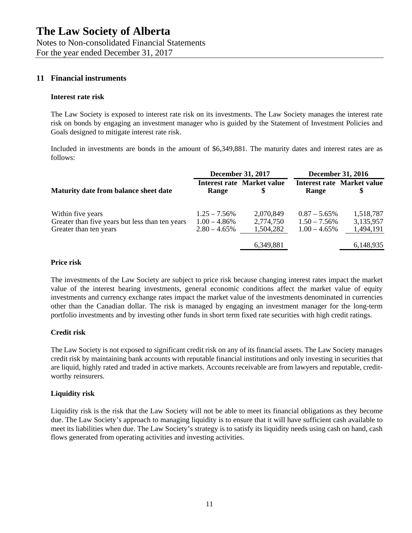## **11 Financial instruments**

#### **Interest rate risk**

The Law Society is exposed to interest rate risk on its investments. The Law Society manages the interest rate risk on bonds by engaging an investment manager who is guided by the Statement of Investment Policies and Goals designed to mitigate interest rate risk.

Included in investments are bonds in the amount of \$6,349,881. The maturity dates and interest rates are as follows:

|                                                                                                | <b>December 31, 2017</b>                              |                                         | <b>December 31, 2016</b>                              |                                     |
|------------------------------------------------------------------------------------------------|-------------------------------------------------------|-----------------------------------------|-------------------------------------------------------|-------------------------------------|
| Maturity date from balance sheet date                                                          | Range                                                 | <b>Interest rate Market value</b><br>\$ | Range                                                 | <b>Interest rate Market value</b>   |
| Within five years<br>Greater than five years but less than ten years<br>Greater than ten years | $1.25 - 7.56\%$<br>$1.00 - 4.86\%$<br>$2.80 - 4.65\%$ | 2,070,849<br>2,774,750<br>1,504,282     | $0.87 - 5.65\%$<br>$1.50 - 7.56\%$<br>$1.00 - 4.65\%$ | 1,518,787<br>3,135,957<br>1,494,191 |
|                                                                                                |                                                       | 6,349,881                               |                                                       | 6,148,935                           |

#### **Price risk**

The investments of the Law Society are subject to price risk because changing interest rates impact the market value of the interest bearing investments, general economic conditions affect the market value of equity investments and currency exchange rates impact the market value of the investments denominated in currencies other than the Canadian dollar. The risk is managed by engaging an investment manager for the long-term portfolio investments and by investing other funds in short term fixed rate securities with high credit ratings.

#### **Credit risk**

The Law Society is not exposed to significant credit risk on any of its financial assets. The Law Society manages credit risk by maintaining bank accounts with reputable financial institutions and only investing in securities that are liquid, highly rated and traded in active markets. Accounts receivable are from lawyers and reputable, creditworthy reinsurers.

#### **Liquidity risk**

Liquidity risk is the risk that the Law Society will not be able to meet its financial obligations as they become due. The Law Society's approach to managing liquidity is to ensure that it will have sufficient cash available to meet its liabilities when due. The Law Society's strategy is to satisfy its liquidity needs using cash on hand, cash flows generated from operating activities and investing activities.